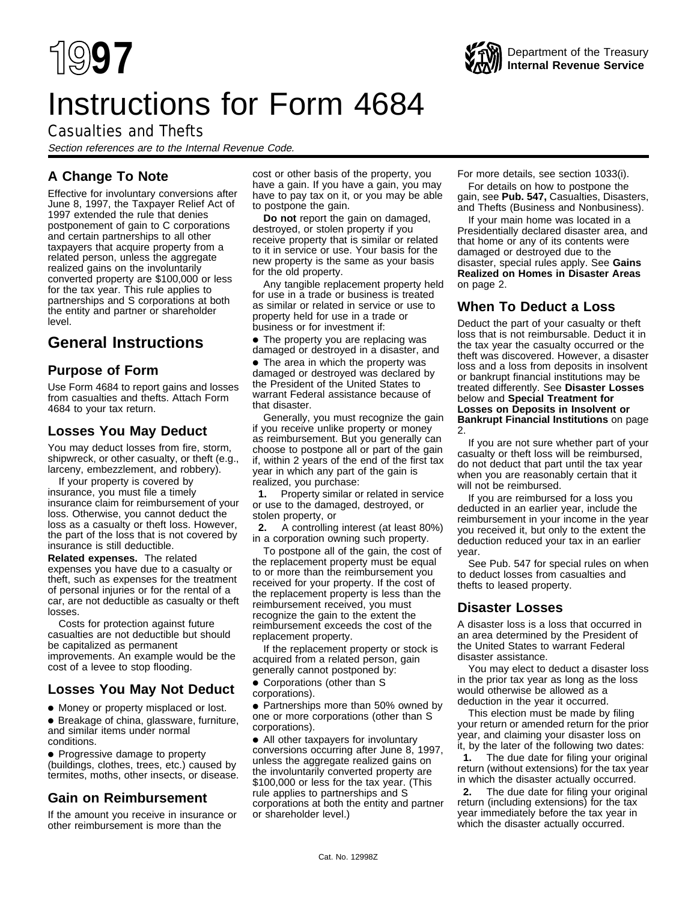# Instructions for Form 4684

# Casualties and Thefts

Section references are to the Internal Revenue Code.

# **A Change To Note**

Effective for involuntary conversions after June 8, 1997, the Taxpayer Relief Act of 1997 extended the rule that denies postponement of gain to C corporations and certain partnerships to all other taxpayers that acquire property from a related person, unless the aggregate realized gains on the involuntarily converted property are \$100,000 or less for the tax year. This rule applies to partnerships and S corporations at both the entity and partner or shareholder level.

# **General Instructions**

## **Purpose of Form**

Use Form 4684 to report gains and losses from casualties and thefts. Attach Form 4684 to your tax return.

# **Losses You May Deduct**

You may deduct losses from fire, storm, shipwreck, or other casualty, or theft (e.g., larceny, embezzlement, and robbery).

If your property is covered by insurance, you must file a timely insurance claim for reimbursement of your loss. Otherwise, you cannot deduct the loss as a casualty or theft loss. However, the part of the loss that is not covered by insurance is still deductible.

**Related expenses.** The related expenses you have due to a casualty or theft, such as expenses for the treatment of personal injuries or for the rental of a car, are not deductible as casualty or theft losses.

Costs for protection against future casualties are not deductible but should be capitalized as permanent improvements. An example would be the cost of a levee to stop flooding.

# **Losses You May Not Deduct**

• Money or property misplaced or lost.

• Breakage of china, glassware, furniture, and similar items under normal conditions.

• Progressive damage to property (buildings, clothes, trees, etc.) caused by termites, moths, other insects, or disease.

# **Gain on Reimbursement**

If the amount you receive in insurance or other reimbursement is more than the

cost or other basis of the property, you have a gain. If you have a gain, you may have to pay tax on it, or you may be able to postpone the gain.

**Do not** report the gain on damaged, destroyed, or stolen property if you receive property that is similar or related to it in service or use. Your basis for the new property is the same as your basis for the old property.

Any tangible replacement property held for use in a trade or business is treated as similar or related in service or use to property held for use in a trade or business or for investment if:

• The property you are replacing was damaged or destroyed in a disaster, and

• The area in which the property was damaged or destroyed was declared by the President of the United States to warrant Federal assistance because of that disaster.

Generally, you must recognize the gain if you receive unlike property or money as reimbursement. But you generally can choose to postpone all or part of the gain if, within 2 years of the end of the first tax year in which any part of the gain is realized, you purchase:

 $\ddot{y}$ **1.** Property similar or related in service or use to the damaged, destroyed, or stolen property, or

 **2.** A controlling interest (at least 80%) in a corporation owning such property.

To postpone all of the gain, the cost of the replacement property must be equal to or more than the reimbursement you received for your property. If the cost of the replacement property is less than the reimbursement received, you must recognize the gain to the extent the reimbursement exceeds the cost of the replacement property.

If the replacement property or stock is acquired from a related person, gain generally cannot postponed by:

• Corporations (other than S corporations).

• Partnerships more than 50% owned by one or more corporations (other than S corporations).

• All other taxpayers for involuntary conversions occurring after June 8, 1997, unless the aggregate realized gains on the involuntarily converted property are \$100,000 or less for the tax year. (This rule applies to partnerships and S corporations at both the entity and partner or shareholder level.)

For more details, see section 1033(i).

For details on how to postpone the gain, see **Pub. 547,** Casualties, Disasters, and Thefts (Business and Nonbusiness).

If your main home was located in a Presidentially declared disaster area, and that home or any of its contents were damaged or destroyed due to the disaster, special rules apply. See **Gains Realized on Homes in Disaster Areas** on page 2.

# **When To Deduct a Loss**

Deduct the part of your casualty or theft loss that is not reimbursable. Deduct it in the tax year the casualty occurred or the theft was discovered. However, a disaster loss and a loss from deposits in insolvent or bankrupt financial institutions may be treated differently. See **Disaster Losses** below and **Special Treatment for Losses on Deposits in Insolvent or Bankrupt Financial Institutions** on page 2.

If you are not sure whether part of your casualty or theft loss will be reimbursed, do not deduct that part until the tax year when you are reasonably certain that it will not be reimbursed.

If you are reimbursed for a loss you deducted in an earlier year, include the reimbursement in your income in the year you received it, but only to the extent the deduction reduced your tax in an earlier year.

See Pub. 547 for special rules on when to deduct losses from casualties and thefts to leased property.

## **Disaster Losses**

A disaster loss is a loss that occurred in an area determined by the President of the United States to warrant Federal disaster assistance.

You may elect to deduct a disaster loss in the prior tax year as long as the loss would otherwise be allowed as a deduction in the year it occurred.

This election must be made by filing your return or amended return for the prior year, and claiming your disaster loss on it, by the later of the following two dates:  **1.** The due date for filing your original return (without extensions) for the tax year in which the disaster actually occurred.  $\ddot{y}$ **2.** The due date for filing your original return (including extensions) for the tax year immediately before the tax year in which the disaster actually occurred.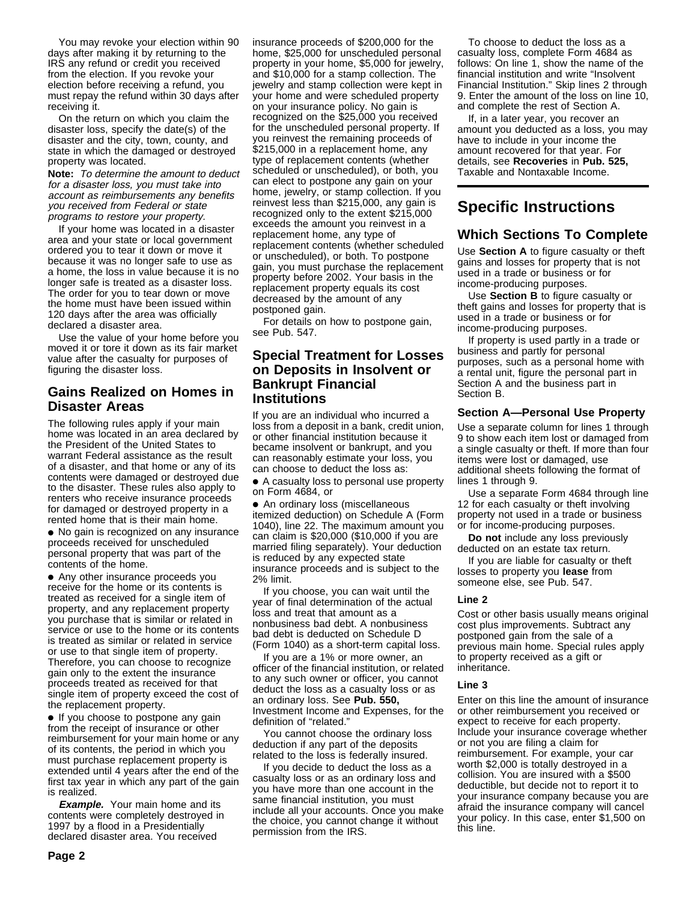You may revoke your election within 90 days after making it by returning to the IRS any refund or credit you received from the election. If you revoke your election before receiving a refund, you must repay the refund within 30 days after receiving it.

On the return on which you claim the disaster loss, specify the date(s) of the disaster and the city, town, county, and state in which the damaged or destroyed property was located.

**Note:** To determine the amount to deduct for a disaster loss, you must take into account as reimbursements any benefits you received from Federal or state programs to restore your property.

If your home was located in a disaster area and your state or local government ordered you to tear it down or move it because it was no longer safe to use as a home, the loss in value because it is no longer safe is treated as a disaster loss. The order for you to tear down or move the home must have been issued within 120 days after the area was officially declared a disaster area.

Use the value of your home before you moved it or tore it down as its fair market value after the casualty for purposes of figuring the disaster loss.

## **Gains Realized on Homes in Disaster Areas**

The following rules apply if your main home was located in an area declared by the President of the United States to warrant Federal assistance as the result of a disaster, and that home or any of its contents were damaged or destroyed due to the disaster. These rules also apply to renters who receive insurance proceeds for damaged or destroyed property in a rented home that is their main home.

• No gain is recognized on any insurance proceeds received for unscheduled personal property that was part of the contents of the home.

• Any other insurance proceeds you receive for the home or its contents is treated as received for a single item of property, and any replacement property you purchase that is similar or related in service or use to the home or its contents is treated as similar or related in service or use to that single item of property. Therefore, you can choose to recognize gain only to the extent the insurance proceeds treated as received for that single item of property exceed the cost of the replacement property.

• If you choose to postpone any gain from the receipt of insurance or other reimbursement for your main home or any of its contents, the period in which you must purchase replacement property is extended until 4 years after the end of the first tax year in which any part of the gain is realized.

**Example.** Your main home and its contents were completely destroyed in 1997 by a flood in a Presidentially declared disaster area. You received

insurance proceeds of \$200,000 for the home, \$25,000 for unscheduled personal property in your home, \$5,000 for jewelry, and \$10,000 for a stamp collection. The jewelry and stamp collection were kept in your home and were scheduled property on your insurance policy. No gain is recognized on the \$25,000 you received for the unscheduled personal property. If you reinvest the remaining proceeds of \$215,000 in a replacement home, any type of replacement contents (whether scheduled or unscheduled), or both, you can elect to postpone any gain on your home, jewelry, or stamp collection. If you reinvest less than \$215,000, any gain is recognized only to the extent \$215,000 exceeds the amount you reinvest in a replacement home, any type of replacement contents (whether scheduled or unscheduled), or both. To postpone gain, you must purchase the replacement property before 2002. Your basis in the replacement property equals its cost decreased by the amount of any postponed gain.

For details on how to postpone gain, see Pub. 547.

## **Special Treatment for Losses on Deposits in Insolvent or Bankrupt Financial Institutions**

If you are an individual who incurred a loss from a deposit in a bank, credit union, or other financial institution because it became insolvent or bankrupt, and you can reasonably estimate your loss, you can choose to deduct the loss as:

●A A casualty loss to personal use property on Form 4684, or

• An ordinary loss (miscellaneous itemized deduction) on Schedule A (Form 1040), line 22. The maximum amount you can claim is \$20,000 (\$10,000 if you are married filing separately). Your deduction is reduced by any expected state insurance proceeds and is subject to the 2% limit.

If you choose, you can wait until the year of final determination of the actual loss and treat that amount as a nonbusiness bad debt. A nonbusiness bad debt is deducted on Schedule D (Form 1040) as a short-term capital loss.

If you are a 1% or more owner, an officer of the financial institution, or related to any such owner or officer, you cannot deduct the loss as a casualty loss or as an ordinary loss. See **Pub. 550,** Investment Income and Expenses, for the definition of "related."

You cannot choose the ordinary loss deduction if any part of the deposits related to the loss is federally insured.

If you decide to deduct the loss as a casualty loss or as an ordinary loss and you have more than one account in the same financial institution, you must include all your accounts. Once you make the choice, you cannot change it without permission from the IRS.

To choose to deduct the loss as a casualty loss, complete Form 4684 as follows: On line 1, show the name of the financial institution and write "Insolvent Financial Institution." Skip lines 2 through 9. Enter the amount of the loss on line 10, and complete the rest of Section A.

If, in a later year, you recover an amount you deducted as a loss, you may have to include in your income the amount recovered for that year. For details, see **Recoveries** in **Pub. 525,** Taxable and Nontaxable Income.

# **Specific Instructions**

# **Which Sections To Complete**

Use **Section A** to figure casualty or theft gains and losses for property that is not used in a trade or business or for income-producing purposes.

Use **Section B** to figure casualty or theft gains and losses for property that is used in a trade or business or for income-producing purposes.

If property is used partly in a trade or business and partly for personal purposes, such as a personal home with a rental unit, figure the personal part in Section A and the business part in Section B.

## **Section A—Personal Use Property**

Use a separate column for lines 1 through 9 to show each item lost or damaged from a single casualty or theft. If more than four items were lost or damaged, use additional sheets following the format of lines 1 through 9.

Use a separate Form 4684 through line 12 for each casualty or theft involving property not used in a trade or business or for income-producing purposes.

**Do not** include any loss previously deducted on an estate tax return.

If you are liable for casualty or theft losses to property you **lease** from someone else, see Pub. 547.

## **Line 2**

Cost or other basis usually means original cost plus improvements. Subtract any postponed gain from the sale of a previous main home. Special rules apply to property received as a gift or inheritance.

## **Line 3**

Enter on this line the amount of insurance or other reimbursement you received or expect to receive for each property. Include your insurance coverage whether or not you are filing a claim for reimbursement. For example, your car worth \$2,000 is totally destroyed in a collision. You are insured with a \$500 deductible, but decide not to report it to your insurance company because you are afraid the insurance company will cancel your policy. In this case, enter \$1,500 on this line.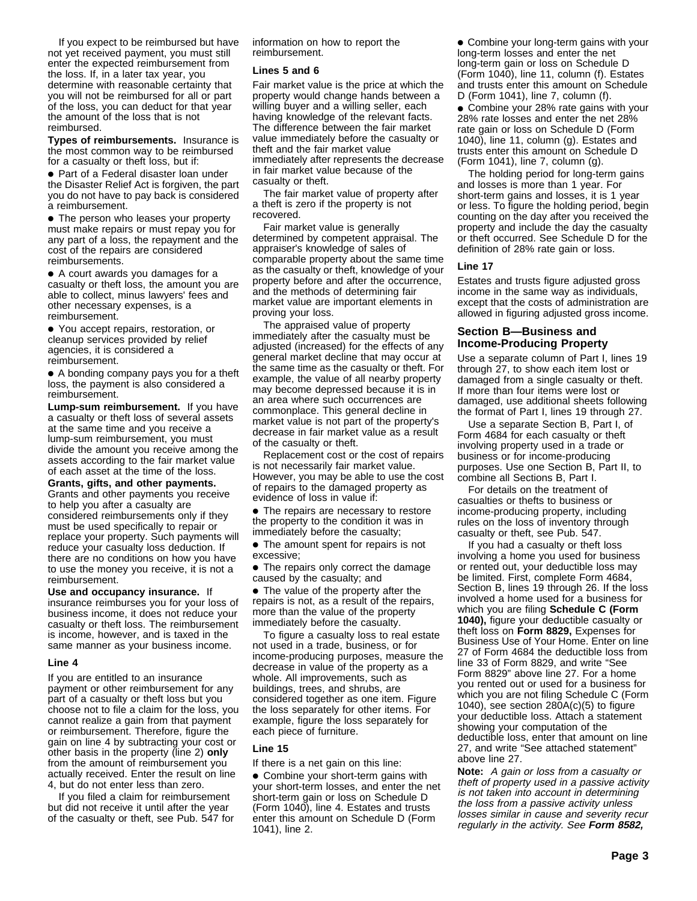If you expect to be reimbursed but have not yet received payment, you must still enter the expected reimbursement from the loss. If, in a later tax year, you determine with reasonable certainty that you will not be reimbursed for all or part of the loss, you can deduct for that year the amount of the loss that is not reimbursed.

**Types of reimbursements.** Insurance is the most common way to be reimbursed for a casualty or theft loss, but if:

• Part of a Federal disaster loan under the Disaster Relief Act is forgiven, the part you do not have to pay back is considered a reimbursement.

• The person who leases your property must make repairs or must repay you for any part of a loss, the repayment and the cost of the repairs are considered reimbursements.

• A court awards you damages for a casualty or theft loss, the amount you are able to collect, minus lawyers' fees and other necessary expenses, is a reimbursement.

• You accept repairs, restoration, or cleanup services provided by relief agencies, it is considered a reimbursement.

●A A bonding company pays you for a theft loss, the payment is also considered a reimbursement.

**Lump-sum reimbursement.** If you have a casualty or theft loss of several assets at the same time and you receive a lump-sum reimbursement, you must divide the amount you receive among the assets according to the fair market value of each asset at the time of the loss.

**Grants, gifts, and other payments.** Grants and other payments you receive to help you after a casualty are considered reimbursements only if they must be used specifically to repair or replace your property. Such payments will reduce your casualty loss deduction. If there are no conditions on how you have to use the money you receive, it is not a reimbursement.

**Use and occupancy insurance.** If insurance reimburses you for your loss of business income, it does not reduce your casualty or theft loss. The reimbursement is income, however, and is taxed in the same manner as your business income.

#### **Line 4**

If you are entitled to an insurance payment or other reimbursement for any part of a casualty or theft loss but you choose not to file a claim for the loss, you cannot realize a gain from that payment or reimbursement. Therefore, figure the gain on line 4 by subtracting your cost or other basis in the property (line 2) **only** from the amount of reimbursement you actually received. Enter the result on line 4, but do not enter less than zero.

If you filed a claim for reimbursement but did not receive it until after the year of the casualty or theft, see Pub. 547 for information on how to report the reimbursement.

#### **Lines 5 and 6**

Fair market value is the price at which the property would change hands between a willing buyer and a willing seller, each having knowledge of the relevant facts. The difference between the fair market value immediately before the casualty or theft and the fair market value immediately after represents the decrease in fair market value because of the casualty or theft.

The fair market value of property after a theft is zero if the property is not recovered.

Fair market value is generally determined by competent appraisal. The appraiser's knowledge of sales of comparable property about the same time as the casualty or theft, knowledge of your property before and after the occurrence, and the methods of determining fair market value are important elements in proving your loss.

The appraised value of property immediately after the casualty must be adjusted (increased) for the effects of any general market decline that may occur at the same time as the casualty or theft. For example, the value of all nearby property may become depressed because it is in an area where such occurrences are commonplace. This general decline in market value is not part of the property's decrease in fair market value as a result of the casualty or theft.

Replacement cost or the cost of repairs is not necessarily fair market value. However, you may be able to use the cost of repairs to the damaged property as evidence of loss in value if:

• The repairs are necessary to restore the property to the condition it was in immediately before the casualty;

• The amount spent for repairs is not excessive;

• The repairs only correct the damage caused by the casualty; and

• The value of the property after the repairs is not, as a result of the repairs, more than the value of the property immediately before the casualty.

To figure a casualty loss to real estate not used in a trade, business, or for income-producing purposes, measure the decrease in value of the property as a whole. All improvements, such as buildings, trees, and shrubs, are considered together as one item. Figure the loss separately for other items. For example, figure the loss separately for each piece of furniture.

#### **Line 15**

If there is a net gain on this line:

• Combine your short-term gains with your short-term losses, and enter the net short-term gain or loss on Schedule D (Form 1040), line 4. Estates and trusts enter this amount on Schedule D (Form 1041), line 2.

• Combine your long-term gains with your long-term losses and enter the net long-term gain or loss on Schedule D (Form 1040), line 11, column (f). Estates and trusts enter this amount on Schedule D (Form 1041), line 7, column (f).

• Combine your 28% rate gains with your 28% rate losses and enter the net 28% rate gain or loss on Schedule D (Form 1040), line 11, column (g). Estates and trusts enter this amount on Schedule D (Form 1041), line 7, column (g).

The holding period for long-term gains and losses is more than 1 year. For short-term gains and losses, it is 1 year or less. To figure the holding period, begin counting on the day after you received the property and include the day the casualty or theft occurred. See Schedule D for the definition of 28% rate gain or loss.

#### **Line 17**

Estates and trusts figure adjusted gross income in the same way as individuals, except that the costs of administration are allowed in figuring adjusted gross income.

#### **Section B—Business and Income-Producing Property**

Use a separate column of Part I, lines 19 through 27, to show each item lost or damaged from a single casualty or theft. If more than four items were lost or damaged, use additional sheets following the format of Part I, lines 19 through 27.

Use a separate Section B, Part I, of Form 4684 for each casualty or theft involving property used in a trade or business or for income-producing purposes. Use one Section B, Part II, to combine all Sections B, Part I.

For details on the treatment of casualties or thefts to business or income-producing property, including rules on the loss of inventory through casualty or theft, see Pub. 547.

If you had a casualty or theft loss involving a home you used for business or rented out, your deductible loss may be limited. First, complete Form 4684, Section B, lines 19 through 26. If the loss involved a home used for a business for which you are filing **Schedule C (Form 1040),** figure your deductible casualty or theft loss on **Form 8829,** Expenses for Business Use of Your Home. Enter on line 27 of Form 4684 the deductible loss from line 33 of Form 8829, and write "See Form 8829" above line 27. For a home you rented out or used for a business for which you are not filing Schedule C (Form 1040), see section  $280A(c)(5)$  to figure your deductible loss. Attach a statement showing your computation of the deductible loss, enter that amount on line 27, and write "See attached statement" above line 27.

**Note:** A gain or loss from a casualty or theft of property used in a passive activity is not taken into account in determining the loss from a passive activity unless losses similar in cause and severity recur regularly in the activity. See **Form 8582,**